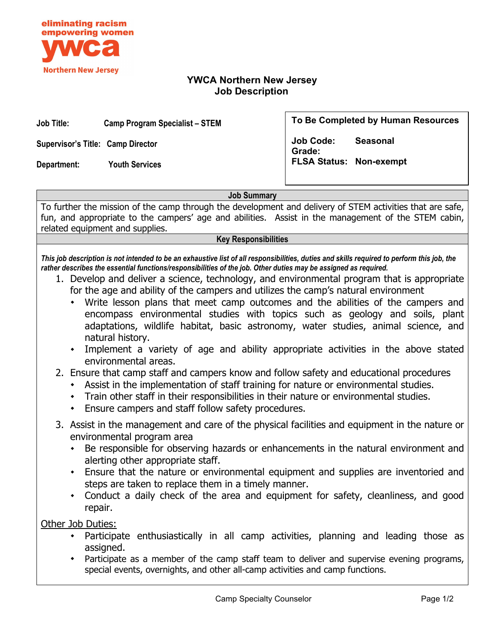

## **YWCA Northern New Jersey Job Description**

**Job Title: Camp Program Specialist – STEM**

**Supervisor's Title: Camp Director**

**Department: Youth Services**

**To Be Completed by Human Resources**

**Job Code: Seasonal Grade: FLSA Status: Non-exempt**

**Job Summary**

To further the mission of the camp through the development and delivery of STEM activities that are safe, fun, and appropriate to the campers' age and abilities. Assist in the management of the STEM cabin, related equipment and supplies.

## **Key Responsibilities**

*This job description is not intended to be an exhaustive list of all responsibilities, duties and skills required to perform this job, the rather describes the essential functions/responsibilities of the job. Other duties may be assigned as required.*

- 1. Develop and deliver a science, technology, and environmental program that is appropriate for the age and ability of the campers and utilizes the camp's natural environment
	- Write lesson plans that meet camp outcomes and the abilities of the campers and encompass environmental studies with topics such as geology and soils, plant adaptations, wildlife habitat, basic astronomy, water studies, animal science, and natural history.
	- Implement a variety of age and ability appropriate activities in the above stated environmental areas.
- 2. Ensure that camp staff and campers know and follow safety and educational procedures
	- Assist in the implementation of staff training for nature or environmental studies.
	- Train other staff in their responsibilities in their nature or environmental studies.
	- Ensure campers and staff follow safety procedures.
- 3. Assist in the management and care of the physical facilities and equipment in the nature or environmental program area
	- Be responsible for observing hazards or enhancements in the natural environment and alerting other appropriate staff.
	- Ensure that the nature or environmental equipment and supplies are inventoried and steps are taken to replace them in a timely manner.
	- Conduct a daily check of the area and equipment for safety, cleanliness, and good repair.

Other Job Duties:

- Participate enthusiastically in all camp activities, planning and leading those as assigned.
- Participate as a member of the camp staff team to deliver and supervise evening programs, special events, overnights, and other all-camp activities and camp functions.